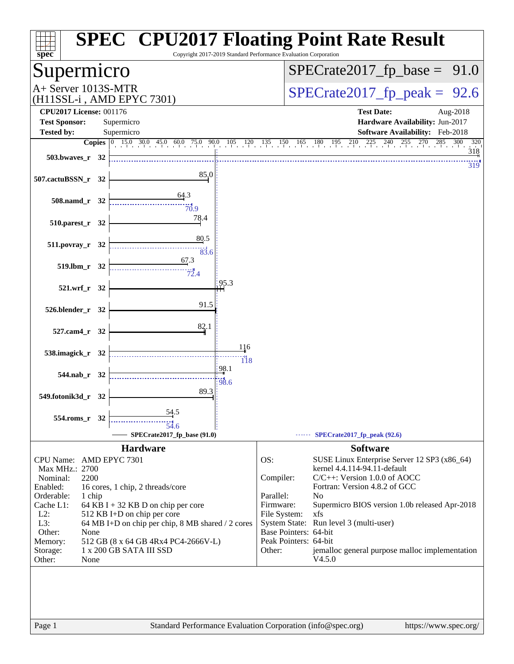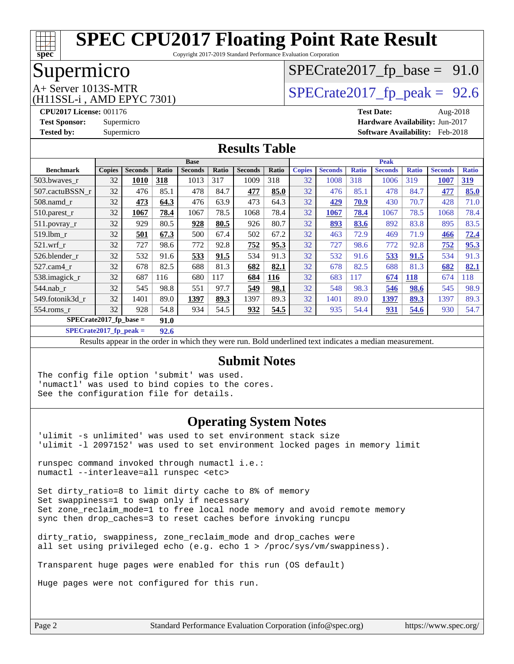

Copyright 2017-2019 Standard Performance Evaluation Corporation

# Supermicro

# $SPECTate2017_fp\_base = 91.0$

(H11SSL-i , AMD EPYC 7301)

 $A+$  Server 1013S-MTR<br>
(H11SSL-i AMD EPYC 7301) [SPECrate2017\\_fp\\_peak =](http://www.spec.org/auto/cpu2017/Docs/result-fields.html#SPECrate2017fppeak) 92.6

**[CPU2017 License:](http://www.spec.org/auto/cpu2017/Docs/result-fields.html#CPU2017License)** 001176 **[Test Date:](http://www.spec.org/auto/cpu2017/Docs/result-fields.html#TestDate)** Aug-2018 **[Test Sponsor:](http://www.spec.org/auto/cpu2017/Docs/result-fields.html#TestSponsor)** Supermicro **[Hardware Availability:](http://www.spec.org/auto/cpu2017/Docs/result-fields.html#HardwareAvailability)** Jun-2017 **[Tested by:](http://www.spec.org/auto/cpu2017/Docs/result-fields.html#Testedby)** Supermicro **[Software Availability:](http://www.spec.org/auto/cpu2017/Docs/result-fields.html#SoftwareAvailability)** Feb-2018

#### **[Results Table](http://www.spec.org/auto/cpu2017/Docs/result-fields.html#ResultsTable)**

|                  | <b>Base</b>                      |                |       |                |              | <b>Peak</b>    |            |               |                |              |                |              |                |              |
|------------------|----------------------------------|----------------|-------|----------------|--------------|----------------|------------|---------------|----------------|--------------|----------------|--------------|----------------|--------------|
| <b>Benchmark</b> | <b>Copies</b>                    | <b>Seconds</b> | Ratio | <b>Seconds</b> | <b>Ratio</b> | <b>Seconds</b> | Ratio      | <b>Copies</b> | <b>Seconds</b> | <b>Ratio</b> | <b>Seconds</b> | <b>Ratio</b> | <b>Seconds</b> | <b>Ratio</b> |
| 503.bwaves_r     | 32                               | <b>1010</b>    | 318   | 1013           | 317          | 1009           | 318        | 32            | 1008           | 318          | 1006           | 319          | 1007           | <u>319</u>   |
| 507.cactuBSSN r  | 32                               | 476            | 85.1  | 478            | 84.7         | 477            | 85.0       | 32            | 476            | 85.1         | 478            | 84.7         | 477            | 85.0         |
| $508$ .namd $r$  | 32                               | 473            | 64.3  | 476            | 63.9         | 473            | 64.3       | 32            | 429            | 70.9         | 430            | 70.7         | 428            | 71.0         |
| 510.parest_r     | 32                               | 1067           | 78.4  | 1067           | 78.5         | 1068           | 78.4       | 32            | 1067           | 78.4         | 1067           | 78.5         | 1068           | 78.4         |
| 511.povray_r     | 32                               | 929            | 80.5  | 928            | 80.5         | 926            | 80.7       | 32            | 893            | 83.6         | 892            | 83.8         | 895            | 83.5         |
| 519.lbm r        | 32                               | 501            | 67.3  | 500            | 67.4         | 502            | 67.2       | 32            | 463            | 72.9         | 469            | 71.9         | 466            | 72.4         |
| $521$ .wrf r     | 32                               | 727            | 98.6  | 772            | 92.8         | 752            | 95.3       | 32            | 727            | 98.6         | 772            | 92.8         | 752            | 95.3         |
| 526.blender r    | 32                               | 532            | 91.6  | 533            | 91.5         | 534            | 91.3       | 32            | 532            | 91.6         | 533            | 91.5         | 534            | 91.3         |
| 527.cam4 r       | 32                               | 678            | 82.5  | 688            | 81.3         | 682            | 82.1       | 32            | 678            | 82.5         | 688            | 81.3         | 682            | 82.1         |
| 538.imagick_r    | 32                               | 687            | 116   | 680            | 117          | 684            | <b>116</b> | 32            | 683            | 117          | 674            | <b>118</b>   | 674            | 118          |
| $544$ .nab r     | 32                               | 545            | 98.8  | 551            | 97.7         | 549            | 98.1       | 32            | 548            | 98.3         | 546            | 98.6         | 545            | 98.9         |
| 549.fotonik3d r  | 32                               | 1401           | 89.0  | 1397           | 89.3         | 1397           | 89.3       | 32            | 1401           | 89.0         | 1397           | 89.3         | 1397           | 89.3         |
| $554$ .roms r    | 32                               | 928            | 54.8  | 934            | 54.5         | 932            | 54.5       | 32            | 935            | 54.4         | 931            | 54.6         | 930            | 54.7         |
|                  | $SPECrate2017$ fp base =<br>91.0 |                |       |                |              |                |            |               |                |              |                |              |                |              |

**[SPECrate2017\\_fp\\_peak =](http://www.spec.org/auto/cpu2017/Docs/result-fields.html#SPECrate2017fppeak) 92.6**

Results appear in the [order in which they were run.](http://www.spec.org/auto/cpu2017/Docs/result-fields.html#RunOrder) Bold underlined text [indicates a median measurement.](http://www.spec.org/auto/cpu2017/Docs/result-fields.html#Median)

#### **[Submit Notes](http://www.spec.org/auto/cpu2017/Docs/result-fields.html#SubmitNotes)**

The config file option 'submit' was used. 'numactl' was used to bind copies to the cores. See the configuration file for details.

### **[Operating System Notes](http://www.spec.org/auto/cpu2017/Docs/result-fields.html#OperatingSystemNotes)**

'ulimit -s unlimited' was used to set environment stack size 'ulimit -l 2097152' was used to set environment locked pages in memory limit

runspec command invoked through numactl i.e.: numactl --interleave=all runspec <etc>

Set dirty ratio=8 to limit dirty cache to 8% of memory Set swappiness=1 to swap only if necessary Set zone\_reclaim\_mode=1 to free local node memory and avoid remote memory sync then drop\_caches=3 to reset caches before invoking runcpu

dirty\_ratio, swappiness, zone\_reclaim\_mode and drop\_caches were all set using privileged echo (e.g. echo 1 > /proc/sys/vm/swappiness).

Transparent huge pages were enabled for this run (OS default)

Huge pages were not configured for this run.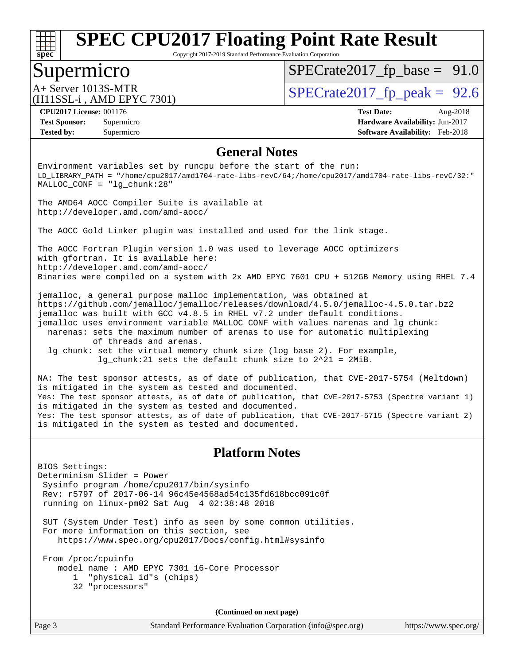

Copyright 2017-2019 Standard Performance Evaluation Corporation

### Supermicro

 $SPECTate2017_fp\_base = 91.0$ 

(H11SSL-i , AMD EPYC 7301)

A+ Server 1013S-MTR<br>(H11SSL in AMD EPVC 7301) [SPECrate2017\\_fp\\_peak =](http://www.spec.org/auto/cpu2017/Docs/result-fields.html#SPECrate2017fppeak) 92.6

**[Tested by:](http://www.spec.org/auto/cpu2017/Docs/result-fields.html#Testedby)** Supermicro **[Software Availability:](http://www.spec.org/auto/cpu2017/Docs/result-fields.html#SoftwareAvailability)** Feb-2018

**[CPU2017 License:](http://www.spec.org/auto/cpu2017/Docs/result-fields.html#CPU2017License)** 001176 **[Test Date:](http://www.spec.org/auto/cpu2017/Docs/result-fields.html#TestDate)** Aug-2018 **[Test Sponsor:](http://www.spec.org/auto/cpu2017/Docs/result-fields.html#TestSponsor)** Supermicro **[Hardware Availability:](http://www.spec.org/auto/cpu2017/Docs/result-fields.html#HardwareAvailability)** Jun-2017

### **[General Notes](http://www.spec.org/auto/cpu2017/Docs/result-fields.html#GeneralNotes)**

Environment variables set by runcpu before the start of the run: LD\_LIBRARY\_PATH = "/home/cpu2017/amd1704-rate-libs-revC/64;/home/cpu2017/amd1704-rate-libs-revC/32:" MALLOC\_CONF = "lg\_chunk:28"

The AMD64 AOCC Compiler Suite is available at <http://developer.amd.com/amd-aocc/>

The AOCC Gold Linker plugin was installed and used for the link stage.

The AOCC Fortran Plugin version 1.0 was used to leverage AOCC optimizers with gfortran. It is available here: <http://developer.amd.com/amd-aocc/> Binaries were compiled on a system with 2x AMD EPYC 7601 CPU + 512GB Memory using RHEL 7.4

jemalloc, a general purpose malloc implementation, was obtained at <https://github.com/jemalloc/jemalloc/releases/download/4.5.0/jemalloc-4.5.0.tar.bz2> jemalloc was built with GCC v4.8.5 in RHEL v7.2 under default conditions. jemalloc uses environment variable MALLOC\_CONF with values narenas and lg\_chunk: narenas: sets the maximum number of arenas to use for automatic multiplexing of threads and arenas. lg\_chunk: set the virtual memory chunk size (log base 2). For example,

lg\_chunk:21 sets the default chunk size to 2^21 = 2MiB.

NA: The test sponsor attests, as of date of publication, that CVE-2017-5754 (Meltdown) is mitigated in the system as tested and documented. Yes: The test sponsor attests, as of date of publication, that CVE-2017-5753 (Spectre variant 1) is mitigated in the system as tested and documented. Yes: The test sponsor attests, as of date of publication, that CVE-2017-5715 (Spectre variant 2) is mitigated in the system as tested and documented.

### **[Platform Notes](http://www.spec.org/auto/cpu2017/Docs/result-fields.html#PlatformNotes)**

BIOS Settings: Determinism Slider = Power Sysinfo program /home/cpu2017/bin/sysinfo Rev: r5797 of 2017-06-14 96c45e4568ad54c135fd618bcc091c0f running on linux-pm02 Sat Aug 4 02:38:48 2018

 SUT (System Under Test) info as seen by some common utilities. For more information on this section, see <https://www.spec.org/cpu2017/Docs/config.html#sysinfo>

 From /proc/cpuinfo model name : AMD EPYC 7301 16-Core Processor 1 "physical id"s (chips) 32 "processors"

**(Continued on next page)**

Page 3 Standard Performance Evaluation Corporation [\(info@spec.org\)](mailto:info@spec.org) <https://www.spec.org/>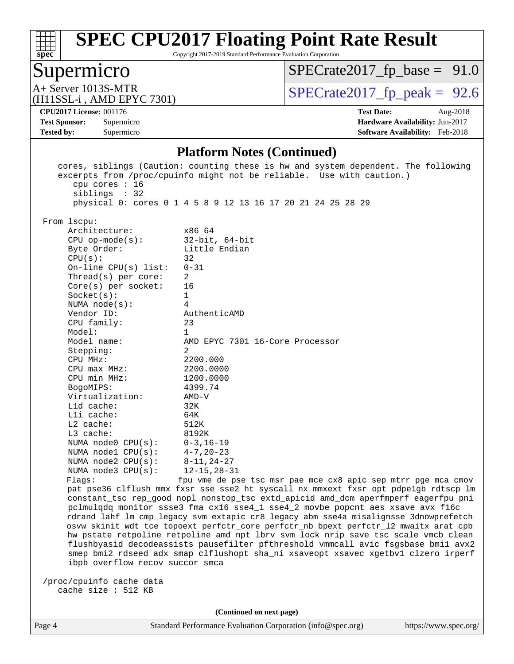

Copyright 2017-2019 Standard Performance Evaluation Corporation

# Supermicro

 $SPECrate2017_fp\_base = 91.0$ 

(H11SSL-i , AMD EPYC 7301)

 $A+$  Server 1013S-MTR<br>
(H11SSL-i AMD EPYC 7301) [SPECrate2017\\_fp\\_peak =](http://www.spec.org/auto/cpu2017/Docs/result-fields.html#SPECrate2017fppeak) 92.6

**[Tested by:](http://www.spec.org/auto/cpu2017/Docs/result-fields.html#Testedby)** Supermicro **[Software Availability:](http://www.spec.org/auto/cpu2017/Docs/result-fields.html#SoftwareAvailability)** Feb-2018

**[CPU2017 License:](http://www.spec.org/auto/cpu2017/Docs/result-fields.html#CPU2017License)** 001176 **[Test Date:](http://www.spec.org/auto/cpu2017/Docs/result-fields.html#TestDate)** Aug-2018 **[Test Sponsor:](http://www.spec.org/auto/cpu2017/Docs/result-fields.html#TestSponsor)** Supermicro **[Hardware Availability:](http://www.spec.org/auto/cpu2017/Docs/result-fields.html#HardwareAvailability)** Jun-2017

#### **[Platform Notes \(Continued\)](http://www.spec.org/auto/cpu2017/Docs/result-fields.html#PlatformNotes)**

| cpu cores : 16<br>siblings : 32 | cores, siblings (Caution: counting these is hw and system dependent. The following<br>excerpts from /proc/cpuinfo might not be reliable. Use with caution.) |
|---------------------------------|-------------------------------------------------------------------------------------------------------------------------------------------------------------|
|                                 | physical 0: cores 0 1 4 5 8 9 12 13 16 17 20 21 24 25 28 29                                                                                                 |
| From lscpu:                     |                                                                                                                                                             |
| Architecture:                   | x86 64                                                                                                                                                      |
| $CPU$ op-mode(s):               | $32$ -bit, $64$ -bit                                                                                                                                        |
| Byte Order:                     | Little Endian                                                                                                                                               |
| CPU(s):                         | 32                                                                                                                                                          |
| On-line $CPU(s)$ list:          | $0 - 31$                                                                                                                                                    |
| Thread(s) per core:             | 2                                                                                                                                                           |
| $Core(s)$ per socket:           | 16                                                                                                                                                          |
| Socket(s):                      | $\mathbf{1}$                                                                                                                                                |
| NUMA $node(s):$                 | 4                                                                                                                                                           |
| Vendor ID:                      | AuthenticAMD                                                                                                                                                |
| CPU family:                     | 23                                                                                                                                                          |
| Model:                          | 1                                                                                                                                                           |
| Model name:                     | AMD EPYC 7301 16-Core Processor                                                                                                                             |
| Stepping:                       | 2                                                                                                                                                           |
| CPU MHz:                        | 2200.000                                                                                                                                                    |
| $CPU$ $max$ $MHz$ :             | 2200.0000                                                                                                                                                   |
| CPU min MHz:                    | 1200.0000                                                                                                                                                   |
| BogoMIPS:                       | 4399.74                                                                                                                                                     |
| Virtualization:                 | $AMD-V$                                                                                                                                                     |
| $L1d$ cache:                    | 32K                                                                                                                                                         |
| Lli cache:                      | 64K                                                                                                                                                         |
| $L2$ cache:                     | 512K                                                                                                                                                        |
| L3 cache:                       | 8192K                                                                                                                                                       |
| NUMA $node0$ $CPU(s)$ :         | $0 - 3$ ,16-19                                                                                                                                              |
| NUMA nodel CPU(s):              | $4 - 7$ , 20-23                                                                                                                                             |
| NUMA $node2$ $CPU(s):$          | $8 - 11, 24 - 27$                                                                                                                                           |
| NUMA $node3$ CPU $(s)$ :        | $12 - 15, 28 - 31$                                                                                                                                          |
| Flags:                          | fpu vme de pse tsc msr pae mce cx8 apic sep mtrr pge mca cmov                                                                                               |
|                                 | pat pse36 clflush mmx fxsr sse sse2 ht syscall nx mmxext fxsr_opt pdpelgb rdtscp lm                                                                         |
|                                 | constant_tsc rep_good nopl nonstop_tsc extd_apicid amd_dcm aperfmperf eagerfpu pni                                                                          |
|                                 | pclmulqdq monitor ssse3 fma cx16 sse4_1 sse4_2 movbe popcnt aes xsave avx f16c                                                                              |
|                                 | rdrand lahf_lm cmp_legacy svm extapic cr8_legacy abm sse4a misalignsse 3dnowprefetch                                                                        |
|                                 | osvw skinit wdt tce topoext perfctr_core perfctr_nb bpext perfctr_12 mwaitx arat cpb                                                                        |
|                                 | hw_pstate retpoline retpoline_amd npt lbrv svm_lock nrip_save tsc_scale vmcb_clean                                                                          |
|                                 | flushbyasid decodeassists pausefilter pfthreshold vmmcall avic fsgsbase bmil avx2                                                                           |
|                                 | smep bmi2 rdseed adx smap clflushopt sha_ni xsaveopt xsavec xgetbvl clzero irperf                                                                           |
| ibpb overflow_recov succor smca |                                                                                                                                                             |
| /proc/cpuinfo cache data        |                                                                                                                                                             |
| cache size : 512 KB             |                                                                                                                                                             |
|                                 |                                                                                                                                                             |

**(Continued on next page)**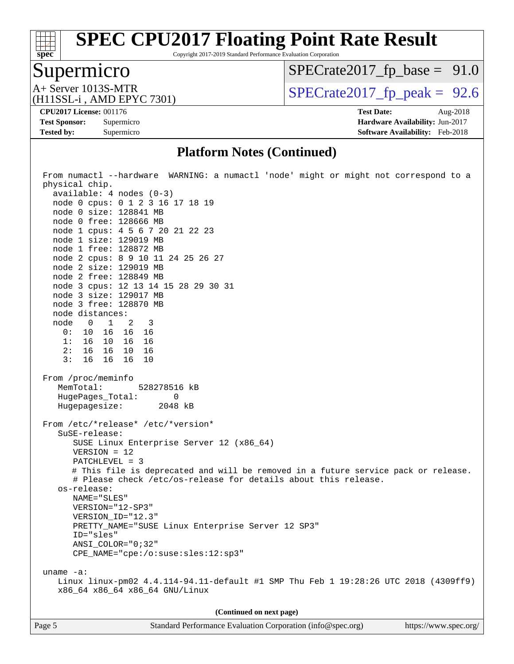# **[spec](http://www.spec.org/)**

# **[SPEC CPU2017 Floating Point Rate Result](http://www.spec.org/auto/cpu2017/Docs/result-fields.html#SPECCPU2017FloatingPointRateResult)**

Copyright 2017-2019 Standard Performance Evaluation Corporation

# Supermicro

 $SPECrate2017_fp\_base = 91.0$ 

(H11SSL-i , AMD EPYC 7301)

 $A+$  Server 1013S-MTR<br>
(H11SSL-i AMD EPYC 7301) [SPECrate2017\\_fp\\_peak =](http://www.spec.org/auto/cpu2017/Docs/result-fields.html#SPECrate2017fppeak) 92.6

**[Tested by:](http://www.spec.org/auto/cpu2017/Docs/result-fields.html#Testedby)** Supermicro **[Software Availability:](http://www.spec.org/auto/cpu2017/Docs/result-fields.html#SoftwareAvailability)** Feb-2018

**[CPU2017 License:](http://www.spec.org/auto/cpu2017/Docs/result-fields.html#CPU2017License)** 001176 **[Test Date:](http://www.spec.org/auto/cpu2017/Docs/result-fields.html#TestDate)** Aug-2018 **[Test Sponsor:](http://www.spec.org/auto/cpu2017/Docs/result-fields.html#TestSponsor)** Supermicro **[Hardware Availability:](http://www.spec.org/auto/cpu2017/Docs/result-fields.html#HardwareAvailability)** Jun-2017

#### **[Platform Notes \(Continued\)](http://www.spec.org/auto/cpu2017/Docs/result-fields.html#PlatformNotes)**

| From numactl --hardware WARNING: a numactl 'node' might or might not correspond to a<br>physical chip.<br>$available: 4 nodes (0-3)$<br>node 0 cpus: 0 1 2 3 16 17 18 19<br>node 0 size: 128841 MB<br>node 0 free: 128666 MB<br>node 1 cpus: 4 5 6 7 20 21 22 23<br>node 1 size: 129019 MB<br>node 1 free: 128872 MB<br>node 2 cpus: 8 9 10 11 24 25 26 27<br>node 2 size: 129019 MB<br>node 2 free: 128849 MB<br>node 3 cpus: 12 13 14 15 28 29 30 31<br>node 3 size: 129017 MB<br>node 3 free: 128870 MB |
|------------------------------------------------------------------------------------------------------------------------------------------------------------------------------------------------------------------------------------------------------------------------------------------------------------------------------------------------------------------------------------------------------------------------------------------------------------------------------------------------------------|
|                                                                                                                                                                                                                                                                                                                                                                                                                                                                                                            |
| node distances:                                                                                                                                                                                                                                                                                                                                                                                                                                                                                            |
| node 0 1 2 3                                                                                                                                                                                                                                                                                                                                                                                                                                                                                               |
| 0: 10 16 16 16                                                                                                                                                                                                                                                                                                                                                                                                                                                                                             |
| 1: 16 10 16 16                                                                                                                                                                                                                                                                                                                                                                                                                                                                                             |
| 2: 16 16 10 16                                                                                                                                                                                                                                                                                                                                                                                                                                                                                             |
| 3:<br>16  16  16  10                                                                                                                                                                                                                                                                                                                                                                                                                                                                                       |
| From /proc/meminfo<br>MemTotal: 528278516 kB<br>HugePages_Total: 0<br>Hugepagesize: 2048 kB<br>From /etc/*release* /etc/*version*<br>SuSE-release:<br>SUSE Linux Enterprise Server 12 (x86_64)<br>$VERSION = 12$<br>PATCHLEVEL = 3<br># This file is deprecated and will be removed in a future service pack or release.<br># Please check /etc/os-release for details about this release.                                                                                                                 |
| os-release:                                                                                                                                                                                                                                                                                                                                                                                                                                                                                                |
| NAME="SLES"                                                                                                                                                                                                                                                                                                                                                                                                                                                                                                |
| VERSION="12-SP3"                                                                                                                                                                                                                                                                                                                                                                                                                                                                                           |
| VERSION_ID="12.3"                                                                                                                                                                                                                                                                                                                                                                                                                                                                                          |
| PRETTY_NAME="SUSE Linux Enterprise Server 12 SP3"                                                                                                                                                                                                                                                                                                                                                                                                                                                          |
| ID="sles"                                                                                                                                                                                                                                                                                                                                                                                                                                                                                                  |
| ANSI_COLOR="0;32"                                                                                                                                                                                                                                                                                                                                                                                                                                                                                          |
| $CPE\_NAME='cpe://o:suse: sles:12:sp3"$                                                                                                                                                                                                                                                                                                                                                                                                                                                                    |
|                                                                                                                                                                                                                                                                                                                                                                                                                                                                                                            |
| uname $-a$ :                                                                                                                                                                                                                                                                                                                                                                                                                                                                                               |
| Linux linux-pm02 4.4.114-94.11-default #1 SMP Thu Feb 1 19:28:26 UTC 2018 (4309ff9)                                                                                                                                                                                                                                                                                                                                                                                                                        |
| x86_64 x86_64 x86_64 GNU/Linux                                                                                                                                                                                                                                                                                                                                                                                                                                                                             |
|                                                                                                                                                                                                                                                                                                                                                                                                                                                                                                            |
| (Continued on next page)                                                                                                                                                                                                                                                                                                                                                                                                                                                                                   |
|                                                                                                                                                                                                                                                                                                                                                                                                                                                                                                            |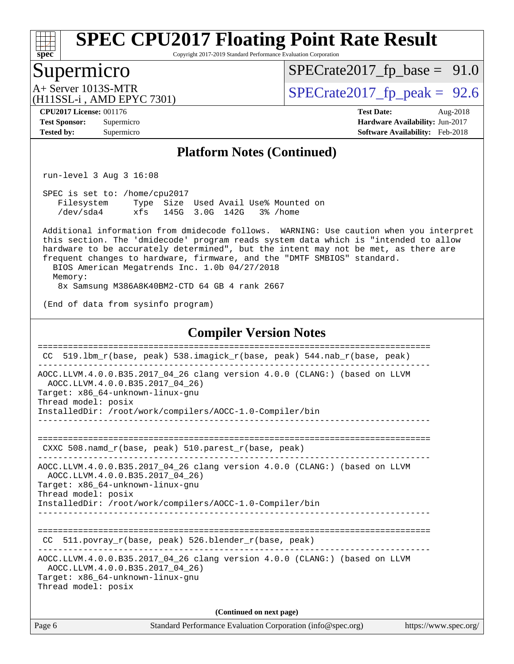

Copyright 2017-2019 Standard Performance Evaluation Corporation

### Supermicro

 $SPECrate2017_fp\_base = 91.0$ 

(H11SSL-i , AMD EPYC 7301)

 $A+$  Server 1013S-MTR<br>  $\langle$ H11SSL-i AMD EPYC 7301) [SPECrate2017\\_fp\\_peak =](http://www.spec.org/auto/cpu2017/Docs/result-fields.html#SPECrate2017fppeak) 92.6

**[CPU2017 License:](http://www.spec.org/auto/cpu2017/Docs/result-fields.html#CPU2017License)** 001176 **[Test Date:](http://www.spec.org/auto/cpu2017/Docs/result-fields.html#TestDate)** Aug-2018 **[Test Sponsor:](http://www.spec.org/auto/cpu2017/Docs/result-fields.html#TestSponsor)** Supermicro **[Hardware Availability:](http://www.spec.org/auto/cpu2017/Docs/result-fields.html#HardwareAvailability)** Jun-2017 **[Tested by:](http://www.spec.org/auto/cpu2017/Docs/result-fields.html#Testedby)** Supermicro **[Software Availability:](http://www.spec.org/auto/cpu2017/Docs/result-fields.html#SoftwareAvailability)** Feb-2018

#### **[Platform Notes \(Continued\)](http://www.spec.org/auto/cpu2017/Docs/result-fields.html#PlatformNotes)**

run-level 3 Aug 3 16:08

 SPEC is set to: /home/cpu2017 Filesystem Type Size Used Avail Use% Mounted on /dev/sda4 xfs 145G 3.0G 142G 3% /home

 Additional information from dmidecode follows. WARNING: Use caution when you interpret this section. The 'dmidecode' program reads system data which is "intended to allow hardware to be accurately determined", but the intent may not be met, as there are frequent changes to hardware, firmware, and the "DMTF SMBIOS" standard. BIOS American Megatrends Inc. 1.0b 04/27/2018

 Memory: 8x Samsung M386A8K40BM2-CTD 64 GB 4 rank 2667

(End of data from sysinfo program)

#### **[Compiler Version Notes](http://www.spec.org/auto/cpu2017/Docs/result-fields.html#CompilerVersionNotes)**

| CC.    | 519.1bm_r(base, peak) 538.imagick_r(base, peak) 544.nab_r(base, peak)                                                                                                                                                                                   |
|--------|---------------------------------------------------------------------------------------------------------------------------------------------------------------------------------------------------------------------------------------------------------|
|        | AOCC.LLVM.4.0.0.B35.2017_04_26 clang version 4.0.0 (CLANG:) (based on LLVM<br>AOCC.LLVM.4.0.0.B35.2017 04 26)<br>Target: x86_64-unknown-linux-gnu<br>Thread model: posix<br>InstalledDir: /root/work/compilers/AOCC-1.0-Compiler/bin                    |
|        | CXXC $508.namd_r(base, peak)$ $510.parest_r(base, peak)$                                                                                                                                                                                                |
|        | AOCC.LLVM.4.0.0.B35.2017_04_26 clang version 4.0.0 (CLANG:) (based on LLVM<br>AOCC.LLVM.4.0.0.B35.2017 04 26)<br>Target: x86_64-unknown-linux-gnu<br>Thread model: posix<br>InstalledDir: /root/work/compilers/AOCC-1.0-Compiler/bin<br>_______________ |
| CC.    | 511.povray_r(base, peak) 526.blender_r(base, peak)                                                                                                                                                                                                      |
|        | AOCC.LLVM.4.0.0.B35.2017_04_26 clang version 4.0.0 (CLANG:) (based on LLVM<br>AOCC.LLVM.4.0.0.B35.2017 04 26)<br>Target: x86_64-unknown-linux-gnu<br>Thread model: posix                                                                                |
|        | (Continued on next page)                                                                                                                                                                                                                                |
| Page 6 | Standard Performance Evaluation Corporation (info@spec.org)<br>https://www.spec.org/                                                                                                                                                                    |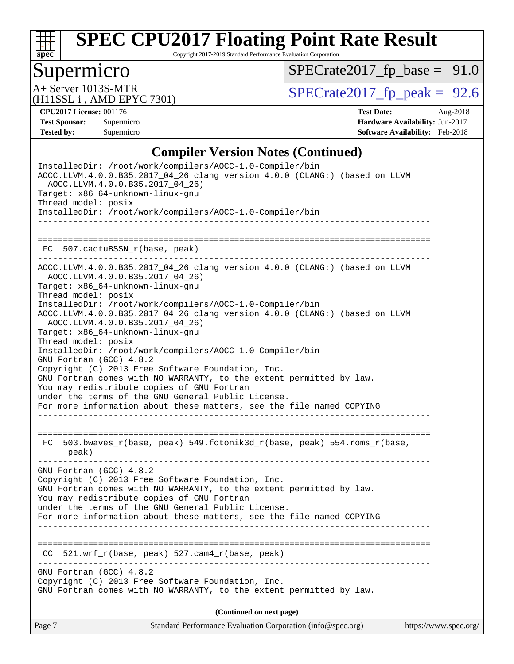

Copyright 2017-2019 Standard Performance Evaluation Corporation

# Supermicro

 $SPECrate2017_fp\_base = 91.0$ 

(H11SSL-i , AMD EPYC 7301)

 $A+$  Server 1013S-MTR<br>
(H11SSL-i AMD EPYC 7301) [SPECrate2017\\_fp\\_peak =](http://www.spec.org/auto/cpu2017/Docs/result-fields.html#SPECrate2017fppeak) 92.6

**[CPU2017 License:](http://www.spec.org/auto/cpu2017/Docs/result-fields.html#CPU2017License)** 001176 **[Test Date:](http://www.spec.org/auto/cpu2017/Docs/result-fields.html#TestDate)** Aug-2018 **[Test Sponsor:](http://www.spec.org/auto/cpu2017/Docs/result-fields.html#TestSponsor)** Supermicro **[Hardware Availability:](http://www.spec.org/auto/cpu2017/Docs/result-fields.html#HardwareAvailability)** Jun-2017 **[Tested by:](http://www.spec.org/auto/cpu2017/Docs/result-fields.html#Testedby)** Supermicro **[Software Availability:](http://www.spec.org/auto/cpu2017/Docs/result-fields.html#SoftwareAvailability)** Feb-2018

### **[Compiler Version Notes \(Continued\)](http://www.spec.org/auto/cpu2017/Docs/result-fields.html#CompilerVersionNotes)**

| Standard Performance Evaluation Corporation (info@spec.org)<br>Page 7                                                                                                                                                                                                                                                                                                                                                                                                                                                                                                                                                                                                                                                                                                                                           | https://www.spec.org/ |
|-----------------------------------------------------------------------------------------------------------------------------------------------------------------------------------------------------------------------------------------------------------------------------------------------------------------------------------------------------------------------------------------------------------------------------------------------------------------------------------------------------------------------------------------------------------------------------------------------------------------------------------------------------------------------------------------------------------------------------------------------------------------------------------------------------------------|-----------------------|
| (Continued on next page)                                                                                                                                                                                                                                                                                                                                                                                                                                                                                                                                                                                                                                                                                                                                                                                        |                       |
| GNU Fortran (GCC) 4.8.2<br>Copyright (C) 2013 Free Software Foundation, Inc.<br>GNU Fortran comes with NO WARRANTY, to the extent permitted by law.                                                                                                                                                                                                                                                                                                                                                                                                                                                                                                                                                                                                                                                             |                       |
| $521.wrf_r(base, peak)$ 527.cam4 $r(base, peak)$<br>CC.<br>--------------------------------<br>---------------------                                                                                                                                                                                                                                                                                                                                                                                                                                                                                                                                                                                                                                                                                            |                       |
| Copyright (C) 2013 Free Software Foundation, Inc.<br>GNU Fortran comes with NO WARRANTY, to the extent permitted by law.<br>You may redistribute copies of GNU Fortran<br>under the terms of the GNU General Public License.<br>For more information about these matters, see the file named COPYING                                                                                                                                                                                                                                                                                                                                                                                                                                                                                                            |                       |
| 503.bwaves_r(base, peak) 549.fotonik3d_r(base, peak) 554.roms_r(base,<br>FC<br>peak)<br>GNU Fortran (GCC) 4.8.2                                                                                                                                                                                                                                                                                                                                                                                                                                                                                                                                                                                                                                                                                                 |                       |
| AOCC.LLVM.4.0.0.B35.2017_04_26 clang version 4.0.0 (CLANG:) (based on LLVM<br>AOCC.LLVM.4.0.0.B35.2017 04 26)<br>Target: x86_64-unknown-linux-gnu<br>Thread model: posix<br>InstalledDir: /root/work/compilers/AOCC-1.0-Compiler/bin<br>AOCC.LLVM.4.0.0.B35.2017_04_26 clang version 4.0.0 (CLANG:) (based on LLVM<br>AOCC.LLVM.4.0.0.B35.2017 04 26)<br>Target: x86_64-unknown-linux-gnu<br>Thread model: posix<br>InstalledDir: /root/work/compilers/AOCC-1.0-Compiler/bin<br>GNU Fortran (GCC) 4.8.2<br>Copyright (C) 2013 Free Software Foundation, Inc.<br>GNU Fortran comes with NO WARRANTY, to the extent permitted by law.<br>You may redistribute copies of GNU Fortran<br>under the terms of the GNU General Public License.<br>For more information about these matters, see the file named COPYING |                       |
| FC 507.cactuBSSN_r(base, peak)                                                                                                                                                                                                                                                                                                                                                                                                                                                                                                                                                                                                                                                                                                                                                                                  |                       |
|                                                                                                                                                                                                                                                                                                                                                                                                                                                                                                                                                                                                                                                                                                                                                                                                                 |                       |
| AOCC.LLVM.4.0.0.B35.2017_04_26 clang version 4.0.0 (CLANG:) (based on LLVM<br>AOCC.LLVM.4.0.0.B35.2017 04 26)<br>Target: x86_64-unknown-linux-gnu<br>Thread model: posix<br>InstalledDir: /root/work/compilers/AOCC-1.0-Compiler/bin                                                                                                                                                                                                                                                                                                                                                                                                                                                                                                                                                                            |                       |
| InstalledDir: /root/work/compilers/AOCC-1.0-Compiler/bin                                                                                                                                                                                                                                                                                                                                                                                                                                                                                                                                                                                                                                                                                                                                                        |                       |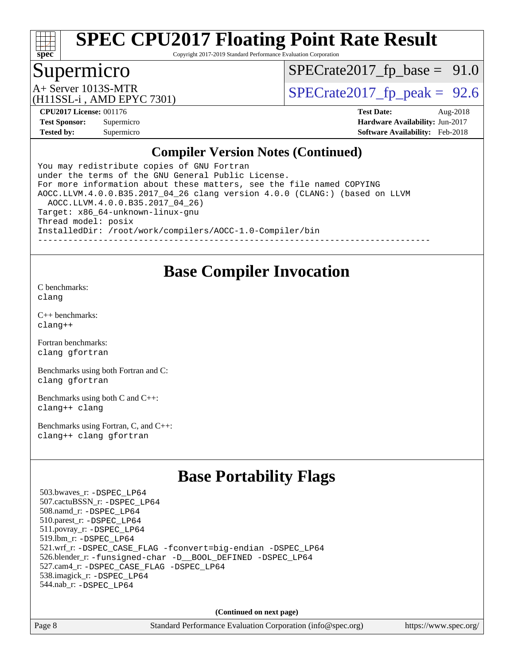

Copyright 2017-2019 Standard Performance Evaluation Corporation

### Supermicro

 $SPECTate2017_fp\_base = 91.0$ 

(H11SSL-i , AMD EPYC 7301)

A+ Server 1013S-MTR<br>(H11SSL in AMD EPVC 7301) [SPECrate2017\\_fp\\_peak =](http://www.spec.org/auto/cpu2017/Docs/result-fields.html#SPECrate2017fppeak) 92.6

**[CPU2017 License:](http://www.spec.org/auto/cpu2017/Docs/result-fields.html#CPU2017License)** 001176 **[Test Date:](http://www.spec.org/auto/cpu2017/Docs/result-fields.html#TestDate)** Aug-2018 **[Test Sponsor:](http://www.spec.org/auto/cpu2017/Docs/result-fields.html#TestSponsor)** Supermicro **[Hardware Availability:](http://www.spec.org/auto/cpu2017/Docs/result-fields.html#HardwareAvailability)** Jun-2017 **[Tested by:](http://www.spec.org/auto/cpu2017/Docs/result-fields.html#Testedby)** Supermicro **[Software Availability:](http://www.spec.org/auto/cpu2017/Docs/result-fields.html#SoftwareAvailability)** Feb-2018

#### **[Compiler Version Notes \(Continued\)](http://www.spec.org/auto/cpu2017/Docs/result-fields.html#CompilerVersionNotes)**

You may redistribute copies of GNU Fortran under the terms of the GNU General Public License. For more information about these matters, see the file named COPYING AOCC.LLVM.4.0.0.B35.2017\_04\_26 clang version 4.0.0 (CLANG:) (based on LLVM AOCC.LLVM.4.0.0.B35.2017\_04\_26) Target: x86\_64-unknown-linux-gnu Thread model: posix InstalledDir: /root/work/compilers/AOCC-1.0-Compiler/bin ------------------------------------------------------------------------------

### **[Base Compiler Invocation](http://www.spec.org/auto/cpu2017/Docs/result-fields.html#BaseCompilerInvocation)**

[C benchmarks](http://www.spec.org/auto/cpu2017/Docs/result-fields.html#Cbenchmarks): [clang](http://www.spec.org/cpu2017/results/res2018q3/cpu2017-20180806-08191.flags.html#user_CCbase_Fclang3)

[C++ benchmarks:](http://www.spec.org/auto/cpu2017/Docs/result-fields.html#CXXbenchmarks) [clang++](http://www.spec.org/cpu2017/results/res2018q3/cpu2017-20180806-08191.flags.html#user_CXXbase_Fclang3_57a48582e5be507d19b2527b3e7d4f85d9b8669ffc9a8a0dbb9bcf949a918a58bbab411e0c4d14a3922022a3e425a90db94042683824c1806feff4324ca1000d)

[Fortran benchmarks](http://www.spec.org/auto/cpu2017/Docs/result-fields.html#Fortranbenchmarks): [clang](http://www.spec.org/cpu2017/results/res2018q3/cpu2017-20180806-08191.flags.html#user_FCbase_Fclang3) [gfortran](http://www.spec.org/cpu2017/results/res2018q3/cpu2017-20180806-08191.flags.html#user_FCbase_gfortran)

[Benchmarks using both Fortran and C](http://www.spec.org/auto/cpu2017/Docs/result-fields.html#BenchmarksusingbothFortranandC): [clang](http://www.spec.org/cpu2017/results/res2018q3/cpu2017-20180806-08191.flags.html#user_CC_FCbase_Fclang3) [gfortran](http://www.spec.org/cpu2017/results/res2018q3/cpu2017-20180806-08191.flags.html#user_CC_FCbase_gfortran)

[Benchmarks using both C and C++](http://www.spec.org/auto/cpu2017/Docs/result-fields.html#BenchmarksusingbothCandCXX): [clang++](http://www.spec.org/cpu2017/results/res2018q3/cpu2017-20180806-08191.flags.html#user_CC_CXXbase_Fclang3_57a48582e5be507d19b2527b3e7d4f85d9b8669ffc9a8a0dbb9bcf949a918a58bbab411e0c4d14a3922022a3e425a90db94042683824c1806feff4324ca1000d) [clang](http://www.spec.org/cpu2017/results/res2018q3/cpu2017-20180806-08191.flags.html#user_CC_CXXbase_Fclang3)

[Benchmarks using Fortran, C, and C++:](http://www.spec.org/auto/cpu2017/Docs/result-fields.html#BenchmarksusingFortranCandCXX) [clang++](http://www.spec.org/cpu2017/results/res2018q3/cpu2017-20180806-08191.flags.html#user_CC_CXX_FCbase_Fclang3_57a48582e5be507d19b2527b3e7d4f85d9b8669ffc9a8a0dbb9bcf949a918a58bbab411e0c4d14a3922022a3e425a90db94042683824c1806feff4324ca1000d) [clang](http://www.spec.org/cpu2017/results/res2018q3/cpu2017-20180806-08191.flags.html#user_CC_CXX_FCbase_Fclang3) [gfortran](http://www.spec.org/cpu2017/results/res2018q3/cpu2017-20180806-08191.flags.html#user_CC_CXX_FCbase_gfortran)

# **[Base Portability Flags](http://www.spec.org/auto/cpu2017/Docs/result-fields.html#BasePortabilityFlags)**

 503.bwaves\_r: [-DSPEC\\_LP64](http://www.spec.org/cpu2017/results/res2018q3/cpu2017-20180806-08191.flags.html#suite_baseEXTRA_PORTABILITY503_bwaves_r_DSPEC_LP64) 507.cactuBSSN\_r: [-DSPEC\\_LP64](http://www.spec.org/cpu2017/results/res2018q3/cpu2017-20180806-08191.flags.html#suite_baseEXTRA_PORTABILITY507_cactuBSSN_r_DSPEC_LP64) 508.namd\_r: [-DSPEC\\_LP64](http://www.spec.org/cpu2017/results/res2018q3/cpu2017-20180806-08191.flags.html#suite_baseEXTRA_PORTABILITY508_namd_r_DSPEC_LP64) 510.parest\_r: [-DSPEC\\_LP64](http://www.spec.org/cpu2017/results/res2018q3/cpu2017-20180806-08191.flags.html#suite_baseEXTRA_PORTABILITY510_parest_r_DSPEC_LP64) 511.povray\_r: [-DSPEC\\_LP64](http://www.spec.org/cpu2017/results/res2018q3/cpu2017-20180806-08191.flags.html#suite_baseEXTRA_PORTABILITY511_povray_r_DSPEC_LP64) 519.lbm\_r: [-DSPEC\\_LP64](http://www.spec.org/cpu2017/results/res2018q3/cpu2017-20180806-08191.flags.html#suite_baseEXTRA_PORTABILITY519_lbm_r_DSPEC_LP64) 521.wrf\_r: [-DSPEC\\_CASE\\_FLAG](http://www.spec.org/cpu2017/results/res2018q3/cpu2017-20180806-08191.flags.html#b521.wrf_r_baseCPORTABILITY_DSPEC_CASE_FLAG) [-fconvert=big-endian](http://www.spec.org/cpu2017/results/res2018q3/cpu2017-20180806-08191.flags.html#user_baseFPORTABILITY521_wrf_r_F-fconvert:big-endian) [-DSPEC\\_LP64](http://www.spec.org/cpu2017/results/res2018q3/cpu2017-20180806-08191.flags.html#suite_baseEXTRA_PORTABILITY521_wrf_r_DSPEC_LP64) 526.blender\_r: [-funsigned-char](http://www.spec.org/cpu2017/results/res2018q3/cpu2017-20180806-08191.flags.html#user_baseCPORTABILITY526_blender_r_F-funsigned-char) [-D\\_\\_BOOL\\_DEFINED](http://www.spec.org/cpu2017/results/res2018q3/cpu2017-20180806-08191.flags.html#b526.blender_r_baseCXXPORTABILITY_D__BOOL_DEFINED) [-DSPEC\\_LP64](http://www.spec.org/cpu2017/results/res2018q3/cpu2017-20180806-08191.flags.html#suite_baseEXTRA_PORTABILITY526_blender_r_DSPEC_LP64) 527.cam4\_r: [-DSPEC\\_CASE\\_FLAG](http://www.spec.org/cpu2017/results/res2018q3/cpu2017-20180806-08191.flags.html#b527.cam4_r_basePORTABILITY_DSPEC_CASE_FLAG) [-DSPEC\\_LP64](http://www.spec.org/cpu2017/results/res2018q3/cpu2017-20180806-08191.flags.html#suite_baseEXTRA_PORTABILITY527_cam4_r_DSPEC_LP64) 538.imagick\_r: [-DSPEC\\_LP64](http://www.spec.org/cpu2017/results/res2018q3/cpu2017-20180806-08191.flags.html#suite_baseEXTRA_PORTABILITY538_imagick_r_DSPEC_LP64) 544.nab\_r: [-DSPEC\\_LP64](http://www.spec.org/cpu2017/results/res2018q3/cpu2017-20180806-08191.flags.html#suite_baseEXTRA_PORTABILITY544_nab_r_DSPEC_LP64)

**(Continued on next page)**

Page 8 Standard Performance Evaluation Corporation [\(info@spec.org\)](mailto:info@spec.org) <https://www.spec.org/>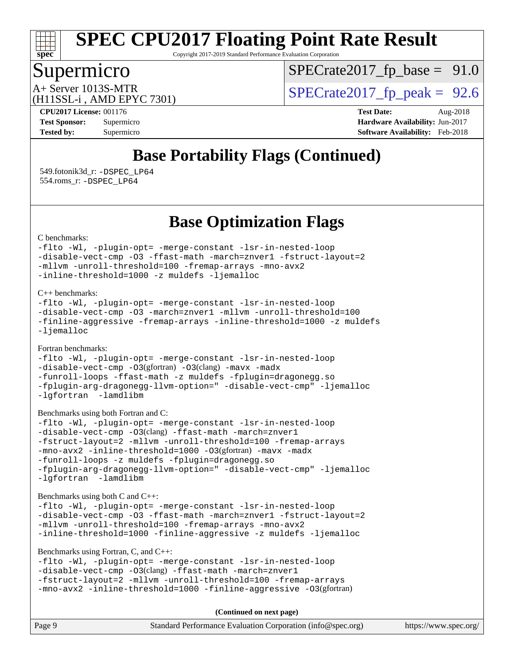

Copyright 2017-2019 Standard Performance Evaluation Corporation

# Supermicro

 $SPECTate2017_fp\_base = 91.0$ 

(H11SSL-i , AMD EPYC 7301)

 $A+$  Server 1013S-MTR<br>  $\langle H11$ SSL-i AMD EPYC 7301) [SPECrate2017\\_fp\\_peak =](http://www.spec.org/auto/cpu2017/Docs/result-fields.html#SPECrate2017fppeak) 92.6

**[CPU2017 License:](http://www.spec.org/auto/cpu2017/Docs/result-fields.html#CPU2017License)** 001176 **[Test Date:](http://www.spec.org/auto/cpu2017/Docs/result-fields.html#TestDate)** Aug-2018 **[Test Sponsor:](http://www.spec.org/auto/cpu2017/Docs/result-fields.html#TestSponsor)** Supermicro **[Hardware Availability:](http://www.spec.org/auto/cpu2017/Docs/result-fields.html#HardwareAvailability)** Jun-2017 **[Tested by:](http://www.spec.org/auto/cpu2017/Docs/result-fields.html#Testedby)** Supermicro **[Software Availability:](http://www.spec.org/auto/cpu2017/Docs/result-fields.html#SoftwareAvailability)** Feb-2018

# **[Base Portability Flags \(Continued\)](http://www.spec.org/auto/cpu2017/Docs/result-fields.html#BasePortabilityFlags)**

 549.fotonik3d\_r: [-DSPEC\\_LP64](http://www.spec.org/cpu2017/results/res2018q3/cpu2017-20180806-08191.flags.html#suite_baseEXTRA_PORTABILITY549_fotonik3d_r_DSPEC_LP64) 554.roms\_r: [-DSPEC\\_LP64](http://www.spec.org/cpu2017/results/res2018q3/cpu2017-20180806-08191.flags.html#suite_baseEXTRA_PORTABILITY554_roms_r_DSPEC_LP64)

**[Base Optimization Flags](http://www.spec.org/auto/cpu2017/Docs/result-fields.html#BaseOptimizationFlags)**

[C benchmarks](http://www.spec.org/auto/cpu2017/Docs/result-fields.html#Cbenchmarks):

```
-flto -Wl, -plugin-opt= -merge-constant -lsr-in-nested-loop
-disable-vect-cmp -O3 -ffast-math -march=znver1 -fstruct-layout=2
-mllvm -unroll-threshold=100 -fremap-arrays -mno-avx2
-inline-threshold=1000 -z muldefs -ljemalloc
```
[C++ benchmarks:](http://www.spec.org/auto/cpu2017/Docs/result-fields.html#CXXbenchmarks)

```
-flto -Wl, -plugin-opt= -merge-constant -lsr-in-nested-loop
-disable-vect-cmp -O3 -march=znver1 -mllvm -unroll-threshold=100
-finline-aggressive -fremap-arrays -inline-threshold=1000 -z muldefs
-ljemalloc
```
[Fortran benchmarks](http://www.spec.org/auto/cpu2017/Docs/result-fields.html#Fortranbenchmarks):

```
-flto -Wl, -plugin-opt= -merge-constant -lsr-in-nested-loop
-disable-vect-cmp -O3(gfortran) -O3(clang) -mavx -madx
-funroll-loops -ffast-math -z muldefs -fplugin=dragonegg.so
-fplugin-arg-dragonegg-llvm-option=" -disable-vect-cmp" -ljemalloc
-lgfortran -lamdlibm
```

```
Benchmarks using both Fortran and C:
```

```
-flto -Wl, -plugin-opt= -merge-constant -lsr-in-nested-loop
-disable-vect-cmp -O3(clang) -ffast-math -march=znver1
-fstruct-layout=2 -mllvm -unroll-threshold=100 -fremap-arrays
-mno-avx2 -inline-threshold=1000 -O3(gfortran) -mavx -madx
-funroll-loops -z muldefs -fplugin=dragonegg.so
-fplugin-arg-dragonegg-llvm-option=" -disable-vect-cmp" -ljemalloc
-lgfortran -lamdlibm
```
[Benchmarks using both C and C++](http://www.spec.org/auto/cpu2017/Docs/result-fields.html#BenchmarksusingbothCandCXX):

```
-flto -Wl, -plugin-opt= -merge-constant -lsr-in-nested-loop
-disable-vect-cmp -O3 -ffast-math -march=znver1 -fstruct-layout=2
-mllvm -unroll-threshold=100 -fremap-arrays -mno-avx2
-inline-threshold=1000 -finline-aggressive -z muldefs -ljemalloc
```
[Benchmarks using Fortran, C, and C++:](http://www.spec.org/auto/cpu2017/Docs/result-fields.html#BenchmarksusingFortranCandCXX)

```
-flto -Wl, -plugin-opt= -merge-constant -lsr-in-nested-loop
-disable-vect-cmp -O3(clang) -ffast-math -march=znver1
-fstruct-layout=2 -mllvm -unroll-threshold=100 -fremap-arrays
-mno-avx2 -inline-threshold=1000 -finline-aggressive -O3(gfortran)
```
**(Continued on next page)**

| Page 9 | Standard Performance Evaluation Corporation (info@spec.org) | https://www.spec.org/ |
|--------|-------------------------------------------------------------|-----------------------|
|--------|-------------------------------------------------------------|-----------------------|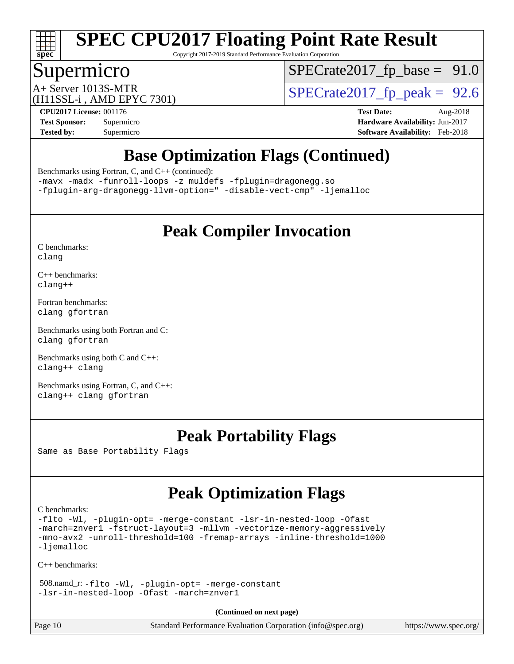

Copyright 2017-2019 Standard Performance Evaluation Corporation

### Supermicro

 $SPECTate2017_fp\_base = 91.0$ 

(H11SSL-i , AMD EPYC 7301)

 $A+$  Server 1013S-MTR<br>  $\langle$ H11SSL-i AMD FPYC 7301) [SPECrate2017\\_fp\\_peak =](http://www.spec.org/auto/cpu2017/Docs/result-fields.html#SPECrate2017fppeak) 92.6

**[CPU2017 License:](http://www.spec.org/auto/cpu2017/Docs/result-fields.html#CPU2017License)** 001176 **[Test Date:](http://www.spec.org/auto/cpu2017/Docs/result-fields.html#TestDate)** Aug-2018 **[Test Sponsor:](http://www.spec.org/auto/cpu2017/Docs/result-fields.html#TestSponsor)** Supermicro **[Hardware Availability:](http://www.spec.org/auto/cpu2017/Docs/result-fields.html#HardwareAvailability)** Jun-2017 **[Tested by:](http://www.spec.org/auto/cpu2017/Docs/result-fields.html#Testedby)** Supermicro **[Software Availability:](http://www.spec.org/auto/cpu2017/Docs/result-fields.html#SoftwareAvailability)** Feb-2018

# **[Base Optimization Flags \(Continued\)](http://www.spec.org/auto/cpu2017/Docs/result-fields.html#BaseOptimizationFlags)**

[Benchmarks using Fortran, C, and C++](http://www.spec.org/auto/cpu2017/Docs/result-fields.html#BenchmarksusingFortranCandCXX) (continued):

[-mavx](http://www.spec.org/cpu2017/results/res2018q3/cpu2017-20180806-08191.flags.html#user_CC_CXX_FCbase_F-mavx) [-madx](http://www.spec.org/cpu2017/results/res2018q3/cpu2017-20180806-08191.flags.html#user_CC_CXX_FCbase_F-madx) [-funroll-loops](http://www.spec.org/cpu2017/results/res2018q3/cpu2017-20180806-08191.flags.html#user_CC_CXX_FCbase_F-funroll-loops) [-z muldefs](http://www.spec.org/cpu2017/results/res2018q3/cpu2017-20180806-08191.flags.html#user_CC_CXX_FCbase_zmuldefs) [-fplugin=dragonegg.so](http://www.spec.org/cpu2017/results/res2018q3/cpu2017-20180806-08191.flags.html#user_CC_CXX_FCbase_F-fpluginDragonEgg) [-fplugin-arg-dragonegg-llvm-option="](http://www.spec.org/cpu2017/results/res2018q3/cpu2017-20180806-08191.flags.html#user_CC_CXX_FCbase_F-fplugin-arg-dragonegg-llvm-option_98400a9ab866ed0085f1e7306b6fe3b9aac45e0c6ce6c4c776296af40a6f95ac09a5771072dd0b0cdcb566a3e79e79d2a726fc48d436745311228115dad9979d) [-disable-vect-cmp"](http://www.spec.org/cpu2017/results/res2018q3/cpu2017-20180806-08191.flags.html#user_CC_CXX_FCbase_F-dragonegg-llvm-disable-vect-cmp_6cf351a29613b68bfdbd040d3e22ab0ce250093fe1c4f1b0b3e19cc513bf9fe59893782c14402abfbebd018ed2d47d139a1a3c59a802b3eac454540228820b23) [-ljemalloc](http://www.spec.org/cpu2017/results/res2018q3/cpu2017-20180806-08191.flags.html#user_CC_CXX_FCbase_F-ljemalloc)

# **[Peak Compiler Invocation](http://www.spec.org/auto/cpu2017/Docs/result-fields.html#PeakCompilerInvocation)**

[C benchmarks](http://www.spec.org/auto/cpu2017/Docs/result-fields.html#Cbenchmarks): [clang](http://www.spec.org/cpu2017/results/res2018q3/cpu2017-20180806-08191.flags.html#user_CCpeak_Fclang3)

[C++ benchmarks:](http://www.spec.org/auto/cpu2017/Docs/result-fields.html#CXXbenchmarks) [clang++](http://www.spec.org/cpu2017/results/res2018q3/cpu2017-20180806-08191.flags.html#user_CXXpeak_Fclang3_57a48582e5be507d19b2527b3e7d4f85d9b8669ffc9a8a0dbb9bcf949a918a58bbab411e0c4d14a3922022a3e425a90db94042683824c1806feff4324ca1000d)

[Fortran benchmarks](http://www.spec.org/auto/cpu2017/Docs/result-fields.html#Fortranbenchmarks): [clang](http://www.spec.org/cpu2017/results/res2018q3/cpu2017-20180806-08191.flags.html#user_FCpeak_Fclang3) [gfortran](http://www.spec.org/cpu2017/results/res2018q3/cpu2017-20180806-08191.flags.html#user_FCpeak_gfortran)

[Benchmarks using both Fortran and C](http://www.spec.org/auto/cpu2017/Docs/result-fields.html#BenchmarksusingbothFortranandC): [clang](http://www.spec.org/cpu2017/results/res2018q3/cpu2017-20180806-08191.flags.html#user_CC_FCpeak_Fclang3) [gfortran](http://www.spec.org/cpu2017/results/res2018q3/cpu2017-20180806-08191.flags.html#user_CC_FCpeak_gfortran)

[Benchmarks using both C and C++](http://www.spec.org/auto/cpu2017/Docs/result-fields.html#BenchmarksusingbothCandCXX): [clang++](http://www.spec.org/cpu2017/results/res2018q3/cpu2017-20180806-08191.flags.html#user_CC_CXXpeak_Fclang3_57a48582e5be507d19b2527b3e7d4f85d9b8669ffc9a8a0dbb9bcf949a918a58bbab411e0c4d14a3922022a3e425a90db94042683824c1806feff4324ca1000d) [clang](http://www.spec.org/cpu2017/results/res2018q3/cpu2017-20180806-08191.flags.html#user_CC_CXXpeak_Fclang3)

[Benchmarks using Fortran, C, and C++:](http://www.spec.org/auto/cpu2017/Docs/result-fields.html#BenchmarksusingFortranCandCXX) [clang++](http://www.spec.org/cpu2017/results/res2018q3/cpu2017-20180806-08191.flags.html#user_CC_CXX_FCpeak_Fclang3_57a48582e5be507d19b2527b3e7d4f85d9b8669ffc9a8a0dbb9bcf949a918a58bbab411e0c4d14a3922022a3e425a90db94042683824c1806feff4324ca1000d) [clang](http://www.spec.org/cpu2017/results/res2018q3/cpu2017-20180806-08191.flags.html#user_CC_CXX_FCpeak_Fclang3) [gfortran](http://www.spec.org/cpu2017/results/res2018q3/cpu2017-20180806-08191.flags.html#user_CC_CXX_FCpeak_gfortran)

### **[Peak Portability Flags](http://www.spec.org/auto/cpu2017/Docs/result-fields.html#PeakPortabilityFlags)**

Same as Base Portability Flags

# **[Peak Optimization Flags](http://www.spec.org/auto/cpu2017/Docs/result-fields.html#PeakOptimizationFlags)**

[C benchmarks](http://www.spec.org/auto/cpu2017/Docs/result-fields.html#Cbenchmarks):

[-flto](http://www.spec.org/cpu2017/results/res2018q3/cpu2017-20180806-08191.flags.html#user_CCpeak_F-flto) [-Wl,](http://www.spec.org/cpu2017/results/res2018q3/cpu2017-20180806-08191.flags.html#user_CCpeak_F-Wl_5f669859b7c1a0295edc4f5fd536c381023f180a987810cb5cfa1d9467a27ac14b13770b9732d7618b24fc778f3dfdf68b65521d505fc870281e0142944925a0) [-plugin-opt=](http://www.spec.org/cpu2017/results/res2018q3/cpu2017-20180806-08191.flags.html#user_CCpeak_F-plugin-opt_772899571bb6157e4b8feeb3276e6c06dec41c1bbb0aa637c8700742a4baaf7e7b56061e32ae2365a76a44d8c448177ca3ee066cdf7537598ff772fc461942c2) [-merge-constant](http://www.spec.org/cpu2017/results/res2018q3/cpu2017-20180806-08191.flags.html#user_CCpeak_F-merge-constant_bdb3ec75d21d5cf0ab1961ebe7105d0ea3b0c6d89a312cf7efc1d107e6c56c92c36b5d564d0702d1e2526f6b92f188b4413eb5a54b1f9e4a41f5a9bfc0233b92) [-lsr-in-nested-loop](http://www.spec.org/cpu2017/results/res2018q3/cpu2017-20180806-08191.flags.html#user_CCpeak_F-lsr-in-nested-loop) [-Ofast](http://www.spec.org/cpu2017/results/res2018q3/cpu2017-20180806-08191.flags.html#user_CCpeak_F-Ofast) [-march=znver1](http://www.spec.org/cpu2017/results/res2018q3/cpu2017-20180806-08191.flags.html#user_CCpeak_march_082ab2c5e8f99f69c47c63adfdc26f9617958cc68d0b5dbfb7aa6935cde4c91d5d9c2fdc24e6781fa8a0299196f2f4ca8e995f825d797de797910507b4251bb3) [-fstruct-layout=3](http://www.spec.org/cpu2017/results/res2018q3/cpu2017-20180806-08191.flags.html#user_CCpeak_F-fstruct-layout) [-mllvm](http://www.spec.org/cpu2017/results/res2018q3/cpu2017-20180806-08191.flags.html#user_CCpeak_F-mllvm_76e3f86ef8d8cc4dfa84cec42d531db351fee284f72cd5d644b5bdbef9c2604296512be6a431d9e19d0523544399ea9dd745afc2fff755a0705d428460dc659e) [-vectorize-memory-aggressively](http://www.spec.org/cpu2017/results/res2018q3/cpu2017-20180806-08191.flags.html#user_CCpeak_F-vectorize-memory-aggressively) [-mno-avx2](http://www.spec.org/cpu2017/results/res2018q3/cpu2017-20180806-08191.flags.html#user_CCpeak_F-mno-avx2) [-unroll-threshold=100](http://www.spec.org/cpu2017/results/res2018q3/cpu2017-20180806-08191.flags.html#user_CCpeak_F-unroll-threshold) [-fremap-arrays](http://www.spec.org/cpu2017/results/res2018q3/cpu2017-20180806-08191.flags.html#user_CCpeak_F-fremap-arrays) [-inline-threshold=1000](http://www.spec.org/cpu2017/results/res2018q3/cpu2017-20180806-08191.flags.html#user_CCpeak_F-inline-threshold_1daf3e0321a7a0c1ea19068c818f3f119b1e5dfc986cc791557791f4b93536c1546ba0c8585f62303269f504aa232e0ca278e8489928152e32e0752215741730) [-ljemalloc](http://www.spec.org/cpu2017/results/res2018q3/cpu2017-20180806-08191.flags.html#user_CCpeak_F-ljemalloc)

[C++ benchmarks:](http://www.spec.org/auto/cpu2017/Docs/result-fields.html#CXXbenchmarks)

 508.namd\_r: [-flto](http://www.spec.org/cpu2017/results/res2018q3/cpu2017-20180806-08191.flags.html#user_peakCXXOPTIMIZEEXTRA_LDFLAGS508_namd_r_F-flto) [-Wl,](http://www.spec.org/cpu2017/results/res2018q3/cpu2017-20180806-08191.flags.html#user_peakEXTRA_LDFLAGS508_namd_r_F-Wl_5f669859b7c1a0295edc4f5fd536c381023f180a987810cb5cfa1d9467a27ac14b13770b9732d7618b24fc778f3dfdf68b65521d505fc870281e0142944925a0) [-plugin-opt=](http://www.spec.org/cpu2017/results/res2018q3/cpu2017-20180806-08191.flags.html#user_peakEXTRA_LDFLAGS508_namd_r_F-plugin-opt_772899571bb6157e4b8feeb3276e6c06dec41c1bbb0aa637c8700742a4baaf7e7b56061e32ae2365a76a44d8c448177ca3ee066cdf7537598ff772fc461942c2) [-merge-constant](http://www.spec.org/cpu2017/results/res2018q3/cpu2017-20180806-08191.flags.html#user_peakEXTRA_LDFLAGS508_namd_r_F-merge-constant_bdb3ec75d21d5cf0ab1961ebe7105d0ea3b0c6d89a312cf7efc1d107e6c56c92c36b5d564d0702d1e2526f6b92f188b4413eb5a54b1f9e4a41f5a9bfc0233b92) [-lsr-in-nested-loop](http://www.spec.org/cpu2017/results/res2018q3/cpu2017-20180806-08191.flags.html#user_peakEXTRA_LDFLAGS508_namd_r_F-lsr-in-nested-loop) [-Ofast](http://www.spec.org/cpu2017/results/res2018q3/cpu2017-20180806-08191.flags.html#user_peakCXXOPTIMIZE508_namd_r_F-Ofast) [-march=znver1](http://www.spec.org/cpu2017/results/res2018q3/cpu2017-20180806-08191.flags.html#user_peakCXXOPTIMIZE508_namd_r_march_082ab2c5e8f99f69c47c63adfdc26f9617958cc68d0b5dbfb7aa6935cde4c91d5d9c2fdc24e6781fa8a0299196f2f4ca8e995f825d797de797910507b4251bb3)

**(Continued on next page)**

| Page 10 | Standard Performance Evaluation Corporation (info@spec.org) |  | https://www.spec.org/ |
|---------|-------------------------------------------------------------|--|-----------------------|
|---------|-------------------------------------------------------------|--|-----------------------|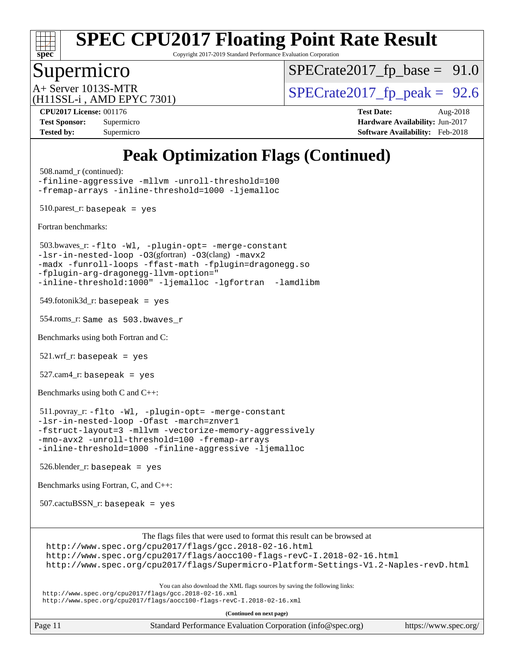

Copyright 2017-2019 Standard Performance Evaluation Corporation

### Supermicro

 $SPECTate2017_fp\_base = 91.0$ 

(H11SSL-i , AMD EPYC 7301)

A+ Server 1013S-MTR<br>(H11SSL in AMD EPVC 7301) [SPECrate2017\\_fp\\_peak =](http://www.spec.org/auto/cpu2017/Docs/result-fields.html#SPECrate2017fppeak) 92.6

**[CPU2017 License:](http://www.spec.org/auto/cpu2017/Docs/result-fields.html#CPU2017License)** 001176 **[Test Date:](http://www.spec.org/auto/cpu2017/Docs/result-fields.html#TestDate)** Aug-2018 **[Test Sponsor:](http://www.spec.org/auto/cpu2017/Docs/result-fields.html#TestSponsor)** Supermicro **[Hardware Availability:](http://www.spec.org/auto/cpu2017/Docs/result-fields.html#HardwareAvailability)** Jun-2017 **[Tested by:](http://www.spec.org/auto/cpu2017/Docs/result-fields.html#Testedby)** Supermicro **[Software Availability:](http://www.spec.org/auto/cpu2017/Docs/result-fields.html#SoftwareAvailability)** Feb-2018

# **[Peak Optimization Flags \(Continued\)](http://www.spec.org/auto/cpu2017/Docs/result-fields.html#PeakOptimizationFlags)**

 508.namd\_r (continued): [-finline-aggressive](http://www.spec.org/cpu2017/results/res2018q3/cpu2017-20180806-08191.flags.html#user_peakCXXOPTIMIZE508_namd_r_F-finline-aggressive) [-mllvm](http://www.spec.org/cpu2017/results/res2018q3/cpu2017-20180806-08191.flags.html#user_peakCXXOPTIMIZE508_namd_r_F-mllvm_76e3f86ef8d8cc4dfa84cec42d531db351fee284f72cd5d644b5bdbef9c2604296512be6a431d9e19d0523544399ea9dd745afc2fff755a0705d428460dc659e) [-unroll-threshold=100](http://www.spec.org/cpu2017/results/res2018q3/cpu2017-20180806-08191.flags.html#user_peakCXXOPTIMIZE508_namd_r_F-unroll-threshold) [-fremap-arrays](http://www.spec.org/cpu2017/results/res2018q3/cpu2017-20180806-08191.flags.html#user_peakCXXOPTIMIZE508_namd_r_F-fremap-arrays) [-inline-threshold=1000](http://www.spec.org/cpu2017/results/res2018q3/cpu2017-20180806-08191.flags.html#user_peakCXXOPTIMIZE508_namd_r_F-inline-threshold_1daf3e0321a7a0c1ea19068c818f3f119b1e5dfc986cc791557791f4b93536c1546ba0c8585f62303269f504aa232e0ca278e8489928152e32e0752215741730) [-ljemalloc](http://www.spec.org/cpu2017/results/res2018q3/cpu2017-20180806-08191.flags.html#user_peakEXTRA_LIBS508_namd_r_F-ljemalloc) 510.parest\_r: basepeak = yes [Fortran benchmarks](http://www.spec.org/auto/cpu2017/Docs/result-fields.html#Fortranbenchmarks): 503.bwaves\_r: [-flto](http://www.spec.org/cpu2017/results/res2018q3/cpu2017-20180806-08191.flags.html#user_peakEXTRA_LDFLAGS503_bwaves_r_F-flto) [-Wl,](http://www.spec.org/cpu2017/results/res2018q3/cpu2017-20180806-08191.flags.html#user_peakEXTRA_LDFLAGS503_bwaves_r_F-Wl_5f669859b7c1a0295edc4f5fd536c381023f180a987810cb5cfa1d9467a27ac14b13770b9732d7618b24fc778f3dfdf68b65521d505fc870281e0142944925a0) [-plugin-opt=](http://www.spec.org/cpu2017/results/res2018q3/cpu2017-20180806-08191.flags.html#user_peakEXTRA_LDFLAGS503_bwaves_r_F-plugin-opt_772899571bb6157e4b8feeb3276e6c06dec41c1bbb0aa637c8700742a4baaf7e7b56061e32ae2365a76a44d8c448177ca3ee066cdf7537598ff772fc461942c2) [-merge-constant](http://www.spec.org/cpu2017/results/res2018q3/cpu2017-20180806-08191.flags.html#user_peakEXTRA_FFLAGSEXTRA_LDFLAGS503_bwaves_r_F-merge-constant_bdb3ec75d21d5cf0ab1961ebe7105d0ea3b0c6d89a312cf7efc1d107e6c56c92c36b5d564d0702d1e2526f6b92f188b4413eb5a54b1f9e4a41f5a9bfc0233b92) [-lsr-in-nested-loop](http://www.spec.org/cpu2017/results/res2018q3/cpu2017-20180806-08191.flags.html#user_peakEXTRA_LDFLAGS503_bwaves_r_F-lsr-in-nested-loop) [-O3](http://www.spec.org/cpu2017/results/res2018q3/cpu2017-20180806-08191.flags.html#user_peakFOPTIMIZE503_bwaves_r_Olevel-gcc_2a8c613e11e2962ae78d693398304d6f1c12fa10320380cff05dd109643c60bb04214353a55f02d8022371d19f6dd940085da69c3a4516b2b7029e64f867e782)(gfortran) [-O3](http://www.spec.org/cpu2017/results/res2018q3/cpu2017-20180806-08191.flags.html#user_peakFOPTIMIZE503_bwaves_r_F-O3)(clang) [-mavx2](http://www.spec.org/cpu2017/results/res2018q3/cpu2017-20180806-08191.flags.html#user_peakFOPTIMIZE503_bwaves_r_F-mavx2) [-madx](http://www.spec.org/cpu2017/results/res2018q3/cpu2017-20180806-08191.flags.html#user_peakFOPTIMIZE503_bwaves_r_F-madx) [-funroll-loops](http://www.spec.org/cpu2017/results/res2018q3/cpu2017-20180806-08191.flags.html#user_peakFOPTIMIZE503_bwaves_r_F-funroll-loops) [-ffast-math](http://www.spec.org/cpu2017/results/res2018q3/cpu2017-20180806-08191.flags.html#user_peakFOPTIMIZE503_bwaves_r_F-ffast-math) [-fplugin=dragonegg.so](http://www.spec.org/cpu2017/results/res2018q3/cpu2017-20180806-08191.flags.html#user_peakEXTRA_FFLAGS503_bwaves_r_F-fpluginDragonEgg) [-fplugin-arg-dragonegg-llvm-option="](http://www.spec.org/cpu2017/results/res2018q3/cpu2017-20180806-08191.flags.html#user_peakEXTRA_FFLAGS503_bwaves_r_F-fplugin-arg-dragonegg-llvm-option_98400a9ab866ed0085f1e7306b6fe3b9aac45e0c6ce6c4c776296af40a6f95ac09a5771072dd0b0cdcb566a3e79e79d2a726fc48d436745311228115dad9979d) [-inline-threshold:1000"](http://www.spec.org/cpu2017/results/res2018q3/cpu2017-20180806-08191.flags.html#user_peakEXTRA_FFLAGS503_bwaves_r_F-dragonegg-llvm-inline-threshold_07e61fd64d703e09a3d6c9aee6ac288c2f7760387fb253286b0ad61651eb62a3a8ac21dc1f35cedb13440b70bea3f6cc5470d6ba8f82ad27d00629d560a26e62) [-ljemalloc](http://www.spec.org/cpu2017/results/res2018q3/cpu2017-20180806-08191.flags.html#user_peakEXTRA_LIBS503_bwaves_r_F-ljemalloc) [-lgfortran](http://www.spec.org/cpu2017/results/res2018q3/cpu2017-20180806-08191.flags.html#user_peakEXTRA_FLIBS503_bwaves_r_F-lgfortran_aee53aa7918ae35ea4e5035d616421204ae8a638c05873868b1aa8743e73ef3f738c1d9cddaea8bce7f96e18015ec2f72d6588008f90a113075c46bd34a5e3c3) [-lamdlibm](http://www.spec.org/cpu2017/results/res2018q3/cpu2017-20180806-08191.flags.html#user_peakEXTRA_FLIBS503_bwaves_r_F-lamdlibm_1db3d84841b8a1b4efe9441895380ccb52ec69ae4c885fce609f880d1f58d8b3c2693ad984247faf1d5c0b0abc492f2987ed2911d4dbfc830003ff87fe5a2273)   $549.$ fotonik $3d$ \_r: basepeak = yes 554.roms\_r: Same as 503.bwaves\_r [Benchmarks using both Fortran and C](http://www.spec.org/auto/cpu2017/Docs/result-fields.html#BenchmarksusingbothFortranandC):  $521.wrf\_r:$  basepeak = yes 527.cam4\_r: basepeak = yes [Benchmarks using both C and C++](http://www.spec.org/auto/cpu2017/Docs/result-fields.html#BenchmarksusingbothCandCXX): 511.povray\_r: [-flto](http://www.spec.org/cpu2017/results/res2018q3/cpu2017-20180806-08191.flags.html#user_peakCOPTIMIZECXXOPTIMIZEEXTRA_LDFLAGS511_povray_r_F-flto) [-Wl,](http://www.spec.org/cpu2017/results/res2018q3/cpu2017-20180806-08191.flags.html#user_peakEXTRA_LDFLAGS511_povray_r_F-Wl_5f669859b7c1a0295edc4f5fd536c381023f180a987810cb5cfa1d9467a27ac14b13770b9732d7618b24fc778f3dfdf68b65521d505fc870281e0142944925a0) [-plugin-opt=](http://www.spec.org/cpu2017/results/res2018q3/cpu2017-20180806-08191.flags.html#user_peakEXTRA_LDFLAGS511_povray_r_F-plugin-opt_772899571bb6157e4b8feeb3276e6c06dec41c1bbb0aa637c8700742a4baaf7e7b56061e32ae2365a76a44d8c448177ca3ee066cdf7537598ff772fc461942c2) [-merge-constant](http://www.spec.org/cpu2017/results/res2018q3/cpu2017-20180806-08191.flags.html#user_peakEXTRA_LDFLAGS511_povray_r_F-merge-constant_bdb3ec75d21d5cf0ab1961ebe7105d0ea3b0c6d89a312cf7efc1d107e6c56c92c36b5d564d0702d1e2526f6b92f188b4413eb5a54b1f9e4a41f5a9bfc0233b92) [-lsr-in-nested-loop](http://www.spec.org/cpu2017/results/res2018q3/cpu2017-20180806-08191.flags.html#user_peakEXTRA_LDFLAGS511_povray_r_F-lsr-in-nested-loop) [-Ofast](http://www.spec.org/cpu2017/results/res2018q3/cpu2017-20180806-08191.flags.html#user_peakCOPTIMIZECXXOPTIMIZE511_povray_r_F-Ofast) [-march=znver1](http://www.spec.org/cpu2017/results/res2018q3/cpu2017-20180806-08191.flags.html#user_peakCOPTIMIZECXXOPTIMIZE511_povray_r_march_082ab2c5e8f99f69c47c63adfdc26f9617958cc68d0b5dbfb7aa6935cde4c91d5d9c2fdc24e6781fa8a0299196f2f4ca8e995f825d797de797910507b4251bb3) [-fstruct-layout=3](http://www.spec.org/cpu2017/results/res2018q3/cpu2017-20180806-08191.flags.html#user_peakCOPTIMIZE511_povray_r_F-fstruct-layout) [-mllvm](http://www.spec.org/cpu2017/results/res2018q3/cpu2017-20180806-08191.flags.html#user_peakCOPTIMIZECXXOPTIMIZE511_povray_r_F-mllvm_76e3f86ef8d8cc4dfa84cec42d531db351fee284f72cd5d644b5bdbef9c2604296512be6a431d9e19d0523544399ea9dd745afc2fff755a0705d428460dc659e) [-vectorize-memory-aggressively](http://www.spec.org/cpu2017/results/res2018q3/cpu2017-20180806-08191.flags.html#user_peakCOPTIMIZE511_povray_r_F-vectorize-memory-aggressively) [-mno-avx2](http://www.spec.org/cpu2017/results/res2018q3/cpu2017-20180806-08191.flags.html#user_peakCOPTIMIZE511_povray_r_F-mno-avx2) [-unroll-threshold=100](http://www.spec.org/cpu2017/results/res2018q3/cpu2017-20180806-08191.flags.html#user_peakCOPTIMIZECXXOPTIMIZE511_povray_r_F-unroll-threshold) [-fremap-arrays](http://www.spec.org/cpu2017/results/res2018q3/cpu2017-20180806-08191.flags.html#user_peakCOPTIMIZECXXOPTIMIZE511_povray_r_F-fremap-arrays) [-inline-threshold=1000](http://www.spec.org/cpu2017/results/res2018q3/cpu2017-20180806-08191.flags.html#user_peakCOPTIMIZECXXOPTIMIZE511_povray_r_F-inline-threshold_1daf3e0321a7a0c1ea19068c818f3f119b1e5dfc986cc791557791f4b93536c1546ba0c8585f62303269f504aa232e0ca278e8489928152e32e0752215741730) [-finline-aggressive](http://www.spec.org/cpu2017/results/res2018q3/cpu2017-20180806-08191.flags.html#user_peakCXXOPTIMIZE511_povray_r_F-finline-aggressive) [-ljemalloc](http://www.spec.org/cpu2017/results/res2018q3/cpu2017-20180806-08191.flags.html#user_peakEXTRA_LIBS511_povray_r_F-ljemalloc) 526.blender\_r: basepeak = yes [Benchmarks using Fortran, C, and C++:](http://www.spec.org/auto/cpu2017/Docs/result-fields.html#BenchmarksusingFortranCandCXX) 507.cactuBSSN\_r: basepeak = yes The flags files that were used to format this result can be browsed at <http://www.spec.org/cpu2017/flags/gcc.2018-02-16.html> <http://www.spec.org/cpu2017/flags/aocc100-flags-revC-I.2018-02-16.html> <http://www.spec.org/cpu2017/flags/Supermicro-Platform-Settings-V1.2-Naples-revD.html>

You can also download the XML flags sources by saving the following links:

<http://www.spec.org/cpu2017/flags/gcc.2018-02-16.xml> <http://www.spec.org/cpu2017/flags/aocc100-flags-revC-I.2018-02-16.xml>

**(Continued on next page)**

Page 11 Standard Performance Evaluation Corporation [\(info@spec.org\)](mailto:info@spec.org) <https://www.spec.org/>